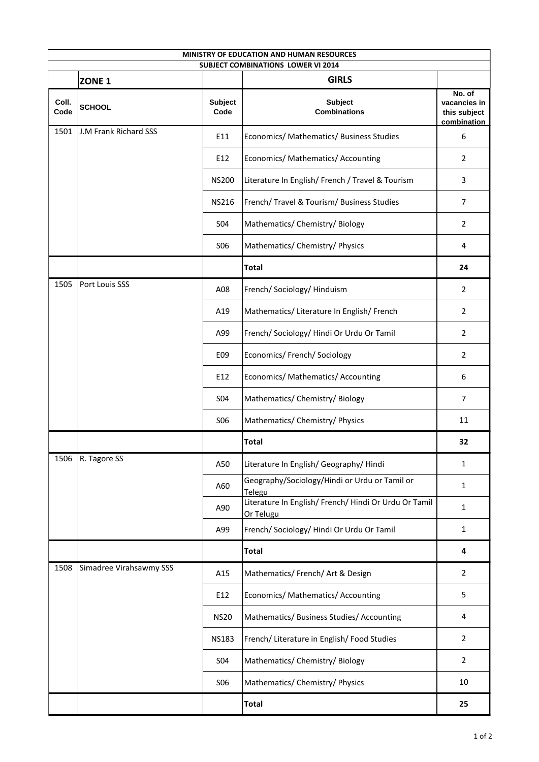| MINISTRY OF EDUCATION AND HUMAN RESOURCES |                                    |                                                           |                                                                    |                                                       |  |  |  |  |
|-------------------------------------------|------------------------------------|-----------------------------------------------------------|--------------------------------------------------------------------|-------------------------------------------------------|--|--|--|--|
|                                           |                                    | <b>SUBJECT COMBINATIONS LOWER VI 2014</b><br><b>GIRLS</b> |                                                                    |                                                       |  |  |  |  |
| Coll.<br>Code                             | ZONE <sub>1</sub><br><b>SCHOOL</b> | <b>Subject</b><br>Code                                    | <b>Subject</b><br><b>Combinations</b>                              | No. of<br>vacancies in<br>this subject<br>combination |  |  |  |  |
| 1501                                      | J.M Frank Richard SSS              | E11                                                       | Economics/ Mathematics/ Business Studies                           | 6                                                     |  |  |  |  |
|                                           |                                    | E12                                                       | Economics/ Mathematics/ Accounting                                 | $\overline{2}$                                        |  |  |  |  |
|                                           |                                    | <b>NS200</b>                                              | Literature In English/French / Travel & Tourism                    | 3                                                     |  |  |  |  |
|                                           |                                    | <b>NS216</b>                                              | French/ Travel & Tourism/ Business Studies                         | $\overline{7}$                                        |  |  |  |  |
|                                           |                                    | <b>S04</b>                                                | Mathematics/ Chemistry/ Biology                                    | $\overline{2}$                                        |  |  |  |  |
|                                           |                                    | <b>S06</b>                                                | Mathematics/ Chemistry/ Physics                                    | 4                                                     |  |  |  |  |
|                                           |                                    |                                                           | <b>Total</b>                                                       | 24                                                    |  |  |  |  |
| 1505                                      | Port Louis SSS                     | A08                                                       | French/ Sociology/ Hinduism                                        | $\overline{2}$                                        |  |  |  |  |
|                                           |                                    | A19                                                       | Mathematics/ Literature In English/ French                         | $\overline{2}$                                        |  |  |  |  |
|                                           |                                    | A99                                                       | French/ Sociology/ Hindi Or Urdu Or Tamil                          | $\overline{2}$                                        |  |  |  |  |
|                                           |                                    | E09                                                       | Economics/ French/ Sociology                                       | $\overline{2}$                                        |  |  |  |  |
|                                           |                                    | E12                                                       | Economics/ Mathematics/ Accounting                                 | 6                                                     |  |  |  |  |
|                                           |                                    | <b>S04</b>                                                | Mathematics/ Chemistry/ Biology                                    | $\overline{7}$                                        |  |  |  |  |
|                                           |                                    | <b>SO6</b>                                                | Mathematics/ Chemistry/ Physics                                    | 11                                                    |  |  |  |  |
|                                           |                                    |                                                           | <b>Total</b>                                                       | 32                                                    |  |  |  |  |
| 1506                                      | R. Tagore SS                       | A50                                                       | Literature In English/ Geography/ Hindi                            | $\mathbf{1}$                                          |  |  |  |  |
|                                           |                                    | A60                                                       | Geography/Sociology/Hindi or Urdu or Tamil or<br>Telegu            | $\mathbf{1}$                                          |  |  |  |  |
|                                           |                                    | A90                                                       | Literature In English/ French/ Hindi Or Urdu Or Tamil<br>Or Telugu | $\mathbf{1}$                                          |  |  |  |  |
|                                           |                                    | A99                                                       | French/ Sociology/ Hindi Or Urdu Or Tamil                          | $\mathbf{1}$                                          |  |  |  |  |
|                                           |                                    |                                                           | <b>Total</b>                                                       | 4                                                     |  |  |  |  |
| 1508                                      | Simadree Virahsawmy SSS            | A15                                                       | Mathematics/ French/ Art & Design                                  | $\overline{2}$                                        |  |  |  |  |
|                                           |                                    | E12                                                       | Economics/ Mathematics/ Accounting                                 | 5                                                     |  |  |  |  |
|                                           |                                    | <b>NS20</b>                                               | Mathematics/ Business Studies/ Accounting                          | 4                                                     |  |  |  |  |
|                                           |                                    | <b>NS183</b>                                              | French/ Literature in English/ Food Studies                        | $\overline{2}$                                        |  |  |  |  |
|                                           |                                    | <b>S04</b>                                                | Mathematics/ Chemistry/ Biology                                    | $\overline{2}$                                        |  |  |  |  |
|                                           |                                    | <b>SO6</b>                                                | Mathematics/ Chemistry/ Physics                                    | 10                                                    |  |  |  |  |
|                                           |                                    |                                                           | <b>Total</b>                                                       | 25                                                    |  |  |  |  |